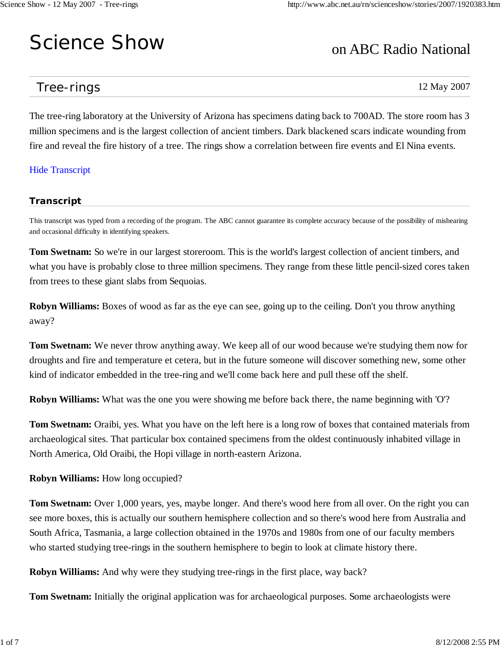# Science Show

# on ABC Radio National

# Tree-rings

12 May 2007

The tree-ring laboratory at the University of Arizona has specimens dating back to 700AD. The store room has 3 million specimens and is the largest collection of ancient timbers. Dark blackened scars indicate wounding from fire and reveal the fire history of a tree. The rings show a correlation between fire events and El Nina events.

# Hide Transcript

# **Transcript**

This transcript was typed from a recording of the program. The ABC cannot guarantee its complete accuracy because of the possibility of mishearing and occasional difficulty in identifying speakers.

**Tom Swetnam:** So we're in our largest storeroom. This is the world's largest collection of ancient timbers, and what you have is probably close to three million specimens. They range from these little pencil-sized cores taken from trees to these giant slabs from Sequoias.

**Robyn Williams:** Boxes of wood as far as the eye can see, going up to the ceiling. Don't you throw anything away?

**Tom Swetnam:** We never throw anything away. We keep all of our wood because we're studying them now for droughts and fire and temperature et cetera, but in the future someone will discover something new, some other kind of indicator embedded in the tree-ring and we'll come back here and pull these off the shelf.

**Robyn Williams:** What was the one you were showing me before back there, the name beginning with 'O'?

**Tom Swetnam:** Oraibi, yes. What you have on the left here is a long row of boxes that contained materials from archaeological sites. That particular box contained specimens from the oldest continuously inhabited village in North America, Old Oraibi, the Hopi village in north-eastern Arizona.

## **Robyn Williams:** How long occupied?

**Tom Swetnam:** Over 1,000 years, yes, maybe longer. And there's wood here from all over. On the right you can see more boxes, this is actually our southern hemisphere collection and so there's wood here from Australia and South Africa, Tasmania, a large collection obtained in the 1970s and 1980s from one of our faculty members who started studying tree-rings in the southern hemisphere to begin to look at climate history there.

**Robyn Williams:** And why were they studying tree-rings in the first place, way back?

**Tom Swetnam:** Initially the original application was for archaeological purposes. Some archaeologists were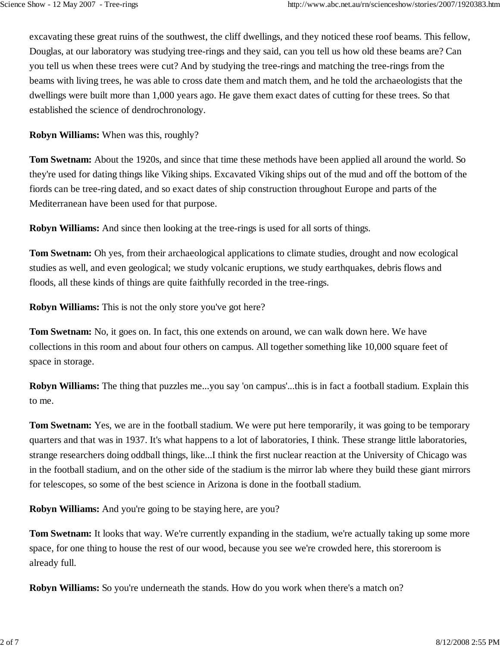excavating these great ruins of the southwest, the cliff dwellings, and they noticed these roof beams. This fellow, Douglas, at our laboratory was studying tree-rings and they said, can you tell us how old these beams are? Can you tell us when these trees were cut? And by studying the tree-rings and matching the tree-rings from the beams with living trees, he was able to cross date them and match them, and he told the archaeologists that the dwellings were built more than 1,000 years ago. He gave them exact dates of cutting for these trees. So that established the science of dendrochronology.

**Robyn Williams:** When was this, roughly?

**Tom Swetnam:** About the 1920s, and since that time these methods have been applied all around the world. So they're used for dating things like Viking ships. Excavated Viking ships out of the mud and off the bottom of the fiords can be tree-ring dated, and so exact dates of ship construction throughout Europe and parts of the Mediterranean have been used for that purpose.

**Robyn Williams:** And since then looking at the tree-rings is used for all sorts of things.

**Tom Swetnam:** Oh yes, from their archaeological applications to climate studies, drought and now ecological studies as well, and even geological; we study volcanic eruptions, we study earthquakes, debris flows and floods, all these kinds of things are quite faithfully recorded in the tree-rings.

**Robyn Williams:** This is not the only store you've got here?

**Tom Swetnam:** No, it goes on. In fact, this one extends on around, we can walk down here. We have collections in this room and about four others on campus. All together something like 10,000 square feet of space in storage.

**Robyn Williams:** The thing that puzzles me...you say 'on campus'...this is in fact a football stadium. Explain this to me.

**Tom Swetnam:** Yes, we are in the football stadium. We were put here temporarily, it was going to be temporary quarters and that was in 1937. It's what happens to a lot of laboratories, I think. These strange little laboratories, strange researchers doing oddball things, like...I think the first nuclear reaction at the University of Chicago was in the football stadium, and on the other side of the stadium is the mirror lab where they build these giant mirrors for telescopes, so some of the best science in Arizona is done in the football stadium.

**Robyn Williams:** And you're going to be staying here, are you?

**Tom Swetnam:** It looks that way. We're currently expanding in the stadium, we're actually taking up some more space, for one thing to house the rest of our wood, because you see we're crowded here, this storeroom is already full.

**Robyn Williams:** So you're underneath the stands. How do you work when there's a match on?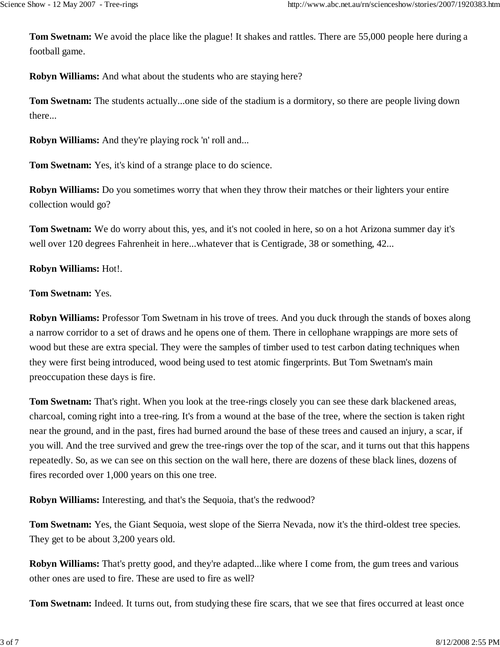**Tom Swetnam:** We avoid the place like the plague! It shakes and rattles. There are 55,000 people here during a football game.

**Robyn Williams:** And what about the students who are staying here?

**Tom Swetnam:** The students actually...one side of the stadium is a dormitory, so there are people living down there...

**Robyn Williams:** And they're playing rock 'n' roll and...

**Tom Swetnam:** Yes, it's kind of a strange place to do science.

**Robyn Williams:** Do you sometimes worry that when they throw their matches or their lighters your entire collection would go?

**Tom Swetnam:** We do worry about this, yes, and it's not cooled in here, so on a hot Arizona summer day it's well over 120 degrees Fahrenheit in here...whatever that is Centigrade, 38 or something, 42...

# **Robyn Williams:** Hot!.

## **Tom Swetnam:** Yes.

**Robyn Williams:** Professor Tom Swetnam in his trove of trees. And you duck through the stands of boxes along a narrow corridor to a set of draws and he opens one of them. There in cellophane wrappings are more sets of wood but these are extra special. They were the samples of timber used to test carbon dating techniques when they were first being introduced, wood being used to test atomic fingerprints. But Tom Swetnam's main preoccupation these days is fire.

**Tom Swetnam:** That's right. When you look at the tree-rings closely you can see these dark blackened areas, charcoal, coming right into a tree-ring. It's from a wound at the base of the tree, where the section is taken right near the ground, and in the past, fires had burned around the base of these trees and caused an injury, a scar, if you will. And the tree survived and grew the tree-rings over the top of the scar, and it turns out that this happens repeatedly. So, as we can see on this section on the wall here, there are dozens of these black lines, dozens of fires recorded over 1,000 years on this one tree.

**Robyn Williams:** Interesting, and that's the Sequoia, that's the redwood?

**Tom Swetnam:** Yes, the Giant Sequoia, west slope of the Sierra Nevada, now it's the third-oldest tree species. They get to be about 3,200 years old.

**Robyn Williams:** That's pretty good, and they're adapted...like where I come from, the gum trees and various other ones are used to fire. These are used to fire as well?

**Tom Swetnam:** Indeed. It turns out, from studying these fire scars, that we see that fires occurred at least once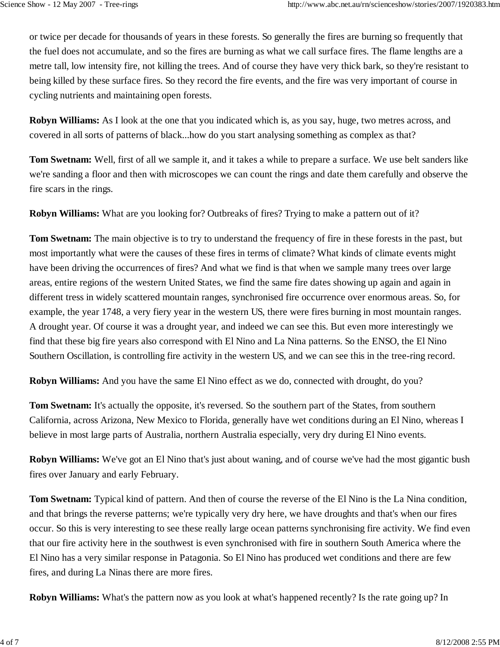or twice per decade for thousands of years in these forests. So generally the fires are burning so frequently that the fuel does not accumulate, and so the fires are burning as what we call surface fires. The flame lengths are a metre tall, low intensity fire, not killing the trees. And of course they have very thick bark, so they're resistant to being killed by these surface fires. So they record the fire events, and the fire was very important of course in cycling nutrients and maintaining open forests.

**Robyn Williams:** As I look at the one that you indicated which is, as you say, huge, two metres across, and covered in all sorts of patterns of black...how do you start analysing something as complex as that?

**Tom Swetnam:** Well, first of all we sample it, and it takes a while to prepare a surface. We use belt sanders like we're sanding a floor and then with microscopes we can count the rings and date them carefully and observe the fire scars in the rings.

**Robyn Williams:** What are you looking for? Outbreaks of fires? Trying to make a pattern out of it?

**Tom Swetnam:** The main objective is to try to understand the frequency of fire in these forests in the past, but most importantly what were the causes of these fires in terms of climate? What kinds of climate events might have been driving the occurrences of fires? And what we find is that when we sample many trees over large areas, entire regions of the western United States, we find the same fire dates showing up again and again in different tress in widely scattered mountain ranges, synchronised fire occurrence over enormous areas. So, for example, the year 1748, a very fiery year in the western US, there were fires burning in most mountain ranges. A drought year. Of course it was a drought year, and indeed we can see this. But even more interestingly we find that these big fire years also correspond with El Nino and La Nina patterns. So the ENSO, the El Nino Southern Oscillation, is controlling fire activity in the western US, and we can see this in the tree-ring record.

**Robyn Williams:** And you have the same El Nino effect as we do, connected with drought, do you?

**Tom Swetnam:** It's actually the opposite, it's reversed. So the southern part of the States, from southern California, across Arizona, New Mexico to Florida, generally have wet conditions during an El Nino, whereas I believe in most large parts of Australia, northern Australia especially, very dry during El Nino events.

**Robyn Williams:** We've got an El Nino that's just about waning, and of course we've had the most gigantic bush fires over January and early February.

**Tom Swetnam:** Typical kind of pattern. And then of course the reverse of the El Nino is the La Nina condition, and that brings the reverse patterns; we're typically very dry here, we have droughts and that's when our fires occur. So this is very interesting to see these really large ocean patterns synchronising fire activity. We find even that our fire activity here in the southwest is even synchronised with fire in southern South America where the El Nino has a very similar response in Patagonia. So El Nino has produced wet conditions and there are few fires, and during La Ninas there are more fires.

**Robyn Williams:** What's the pattern now as you look at what's happened recently? Is the rate going up? In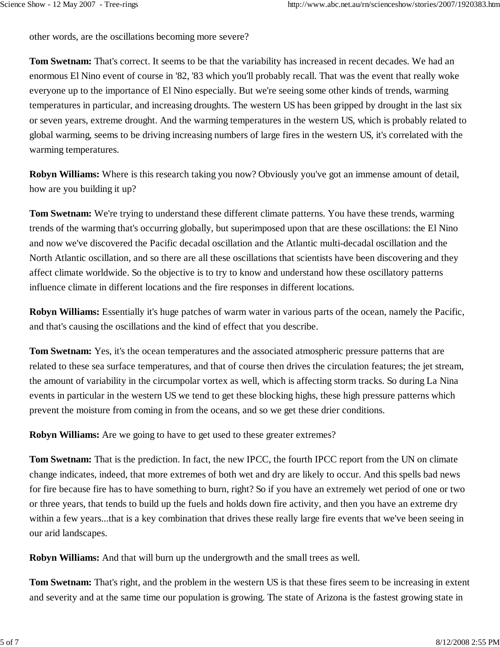other words, are the oscillations becoming more severe?

**Tom Swetnam:** That's correct. It seems to be that the variability has increased in recent decades. We had an enormous El Nino event of course in '82, '83 which you'll probably recall. That was the event that really woke everyone up to the importance of El Nino especially. But we're seeing some other kinds of trends, warming temperatures in particular, and increasing droughts. The western US has been gripped by drought in the last six or seven years, extreme drought. And the warming temperatures in the western US, which is probably related to global warming, seems to be driving increasing numbers of large fires in the western US, it's correlated with the warming temperatures.

**Robyn Williams:** Where is this research taking you now? Obviously you've got an immense amount of detail, how are you building it up?

**Tom Swetnam:** We're trying to understand these different climate patterns. You have these trends, warming trends of the warming that's occurring globally, but superimposed upon that are these oscillations: the El Nino and now we've discovered the Pacific decadal oscillation and the Atlantic multi-decadal oscillation and the North Atlantic oscillation, and so there are all these oscillations that scientists have been discovering and they affect climate worldwide. So the objective is to try to know and understand how these oscillatory patterns influence climate in different locations and the fire responses in different locations.

**Robyn Williams:** Essentially it's huge patches of warm water in various parts of the ocean, namely the Pacific, and that's causing the oscillations and the kind of effect that you describe.

**Tom Swetnam:** Yes, it's the ocean temperatures and the associated atmospheric pressure patterns that are related to these sea surface temperatures, and that of course then drives the circulation features; the jet stream, the amount of variability in the circumpolar vortex as well, which is affecting storm tracks. So during La Nina events in particular in the western US we tend to get these blocking highs, these high pressure patterns which prevent the moisture from coming in from the oceans, and so we get these drier conditions.

**Robyn Williams:** Are we going to have to get used to these greater extremes?

**Tom Swetnam:** That is the prediction. In fact, the new IPCC, the fourth IPCC report from the UN on climate change indicates, indeed, that more extremes of both wet and dry are likely to occur. And this spells bad news for fire because fire has to have something to burn, right? So if you have an extremely wet period of one or two or three years, that tends to build up the fuels and holds down fire activity, and then you have an extreme dry within a few years...that is a key combination that drives these really large fire events that we've been seeing in our arid landscapes.

**Robyn Williams:** And that will burn up the undergrowth and the small trees as well.

**Tom Swetnam:** That's right, and the problem in the western US is that these fires seem to be increasing in extent and severity and at the same time our population is growing. The state of Arizona is the fastest growing state in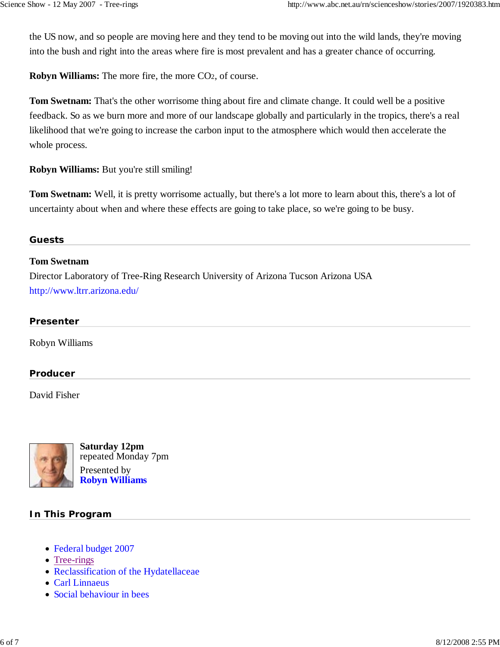the US now, and so people are moving here and they tend to be moving out into the wild lands, they're moving into the bush and right into the areas where fire is most prevalent and has a greater chance of occurring.

**Robyn Williams:** The more fire, the more CO2, of course.

**Tom Swetnam:** That's the other worrisome thing about fire and climate change. It could well be a positive feedback. So as we burn more and more of our landscape globally and particularly in the tropics, there's a real likelihood that we're going to increase the carbon input to the atmosphere which would then accelerate the whole process.

**Robyn Williams:** But you're still smiling!

**Tom Swetnam:** Well, it is pretty worrisome actually, but there's a lot more to learn about this, there's a lot of uncertainty about when and where these effects are going to take place, so we're going to be busy.

#### **Guests**

#### **Tom Swetnam**

Director Laboratory of Tree-Ring Research University of Arizona Tucson Arizona USA http://www.ltrr.arizona.edu/

#### **Presenter**

Robyn Williams

#### **Producer**

David Fisher



**Saturday 12pm** repeated Monday 7pm Presented by **Robyn Williams**

#### **In This Program**

- Federal budget 2007
- Tree-rings
- Reclassification of the Hydatellaceae
- Carl Linnaeus
- Social behaviour in bees